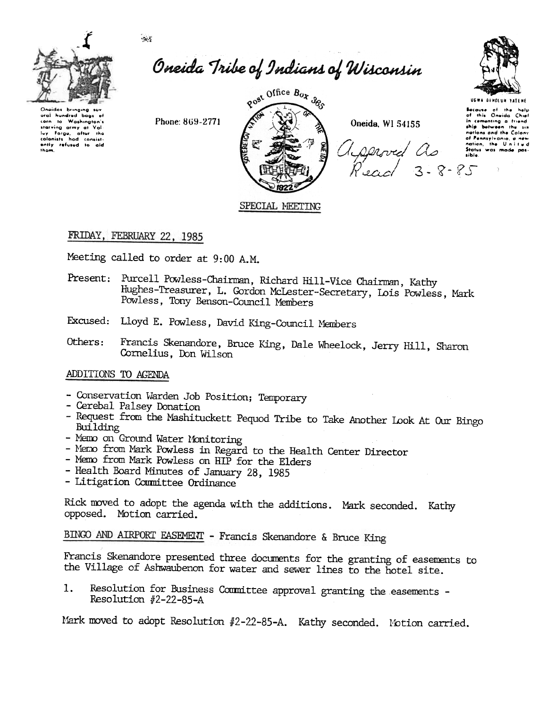$\eta_{\rm eff}$ 



Oneida Tribe of Indians of Wisconsin



USWA BENDLUM VATEM

**Because** of the help<br>of this Oneida Chief in comenting a friend ship botwaen the nations and the Colony of Pennsylvania nation, the Uni Status was made sible

Oneidas brinaina ural hundred bags of com to washington's<br>lay forge, after the<br>colonists had consist-<br>ently refused to aid thom.

Phone: 869-2771



Oneida, WI 54155

served as  $\frac{1}{200}$  3.8.85

## FRIDAY, FEBRUARY 22, 1985

Meeting called to order at 9:00 A.M.

- Present: Purcell Powless-Chairman, Richard Hill-Vice Chairman, Kathy Hughes-Treasurer, L. Gordon McLester-Secretary, Lois Powless, Mark Powless, Tony Benson-Council Members
- Excused: Lloyd E. Powless, David King-Council Members
- Francis Skenandore, Bruce King, Dale Wheelock, Jerry Hill, Sharon Others: Cornelius, Don Wilson

### ADDITIONS TO AGENDA

- Conservation Warden Job Position; Temporary
- Cerebal Palsey Donation
- Request from the Mashituckett Pequod Tribe to Take Another Look At Our Bingo Building
- Memo on Ground Water Monitoring
- Memo from Mark Powless in Regard to the Health Center Director
- Memo from Mark Powless on HIP for the Elders
- Health Board Minutes of January 28, 1985
- Litigation Committee Ordinance

Rick moved to adopt the agenda with the additions. Mark seconded. Kathy opposed. Motion carried.

BINGO AND AIRPORT EASEMENT - Francis Skenandore & Bruce King

Francis Skenandore presented three documents for the granting of easements to the Village of Ashwaubenon for water and sewer lines to the hotel site.

Resolution for Business Committee approval granting the easements -1. Resolution #2-22-85-A

Mark moved to adopt Resolution #2-22-85-A. Kathy seconded. Motion carried.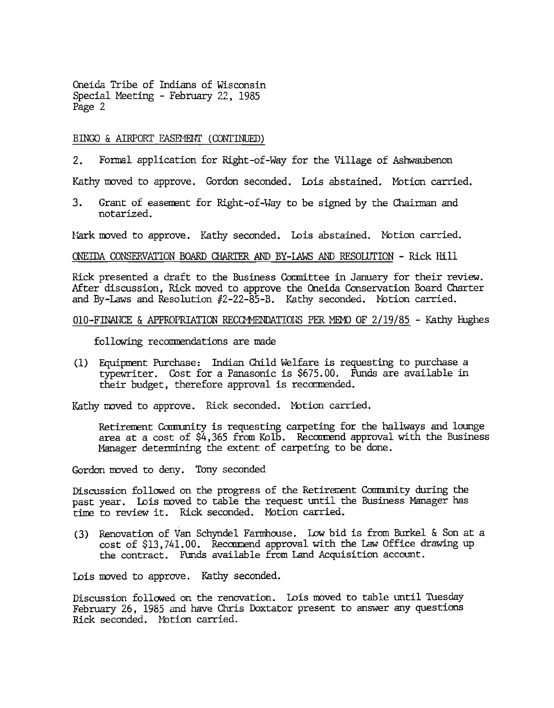#### BINGO & AIRPORT EASEMENT (CONTINUED)

2. Formal application for Right-of-Way for the Village of Ashwaubenon

Kathy moved to approve. Gordon seconded. Lois abstained. Motion carried.

3. Grant of easement for Right-of-Way to be signed by the Chairman and notarized.

Mark moved to approve. Kathy seconded. Lois abstained. Motion carried.

#### ONEIDA CONSERVATION BOARD CHARTER AND BY-LAWS AND RESOLUTION - Rick Hill

Rick presented a draft to the Business Committee in January for their review. After discussion, Rick moved to approve the Oneida Conservation Board Charter and By-Laws and Resolution  $#2-22-85-8$ . Kathy seconded. Motion carried.

#### O10-FINANCE & APPROPRIATION RECOMMENDATIONS PER MEMO OF  $2/19/85$  - Kathy Filghes

following recommendations are made

Equipuent Purchase: Indian Child Welfare is requesting to purchase a (1) typewriter. Cost for a Panasonic is \$675.00. Funds are available in their budget, therefore approval is recommended.

Kathy moved to approve. Rick seconded. Motion carried.

Retirement Community is requesting carpeting for the hallways and lounge area at a cost of  $$4,365$  from Kolb. Recommend approval with the Business Manager determining the extent of carpeting to be done.

Gordon moved to deny. Tony seconded

Discussion followed on the progress of the Retirement Community during the past year. Lois moved to table the request until the Business Manager has time to review it. Rick seconded. Motion carried.

(3) Renovation of Van Schyndel Farmhouse. Low bid is from Burkel & Son at a cost of \$13,741.00. Recommend approval with the Law Office drawing up the contract. Funds available from Land Acquisition account.

Lois moved to approve. Kathy seconded.

Discussion followed on the renovation. Lois moved to table until Tuesday February 26, 1985 and have Chris Doxtator present to answer any questions Rick seconded. Notion carried.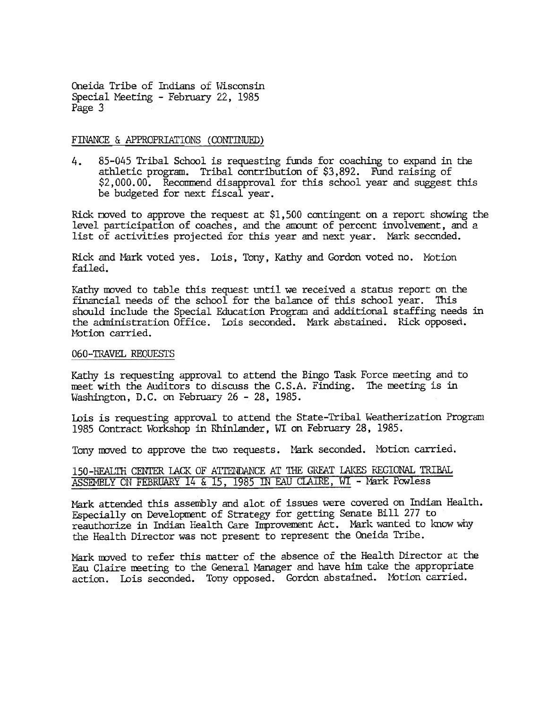#### FINANCE & APPROPRIATIONS (CONTINUED)

4. 85-045 Tribal School is requesting funds for coaching to expand in the athletic program. Tribal contribution of \$3,892. Fund raising of  $$2,000.00.$  Recommend disapproval for this school year and suggest this be budgeted for next fiscal year.

Rick moved to approve the request at  $$1,500$  contingent on a report showing the level participation of coaches, and the amount of percent involvement, and a list of activities projected for this year and next year. Mark seconded.

Rick and Mark voted yes. Lois, Tony, Kathy and Gordon voted no. Motion failed.

Kathy moved to table this request until we received a status report on the financial needs of the school for the balance of this school year. This should include the Special Education Program and additional staffing needs in the administration Office. Lois seconded. Mark abstained. Rick opposed. Motion carried.

#### 060-TRAVEL REQUESTS

Kathy is requesting approval to attend the Bingo Task Force meeting and to meet with the Auditors to discuss the C.S.A. Finding. The meeting is in Washington, D.C. on February  $26 - 28$ , 1985.

Lois is requesting approval to attend the State-Tribal Weatherization Program 1985 Contract Workshop in Rhinlander, WI on February 28, 1985.

Tony moved to approve the two requests. Mark seconded. Motion carried.

| 150-HEALTH CENTER LACK OF ATTENDANCE AT THE GREAT LAKES REGIONAL TRIBAL |  |  |  |  |  |  |  |  |
|-------------------------------------------------------------------------|--|--|--|--|--|--|--|--|
| ASSEMBLY ON FEBRUARY 14 & 15, 1985 IN EAU CLAIRE, WI - Mark Powless     |  |  |  |  |  |  |  |  |

Mark attended this assembly and alot of issues were covered on Indian Health. Especially on Development of Strategy for getting Senate Bill 277 to reauthorize in Indian Health Care Improvement Act. Mark wanted to know why the Health Director was not present to represent the Oneida Tribe.

Mark moved to refer this matter of the absence of the Health Director at the Eau Claire meeting to the General Manager and have him take the appropriate action. Lois seconded. Tony opposed. Gordon abstained. Motion carried.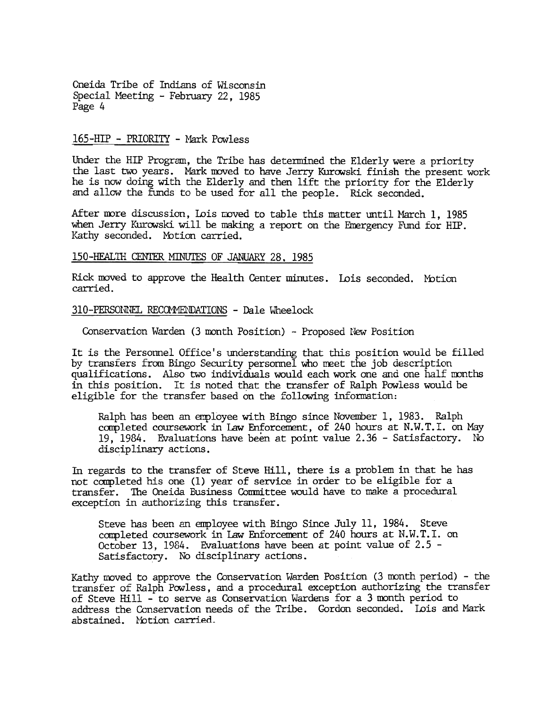#### 165-HIP - PRIORITY - Mark Powless

Under the HIP Program, the Tribe has determined the Elderly were a priority the last two years. Mark moved to have Jerry Kurowski finish the present work he is now doing with the Elderly and then lift the priority for the Elderly and allow the funds to be used for all the people. Rick seconded.

After more discussion, Lois moved to table this matter until March 1, 1985 when Jerry Kurowski will be making a report on the Emergency Fund for  $HIP$ . Kathy seconded. Motion carried.

#### 150-HEALTH CENTER MINUTES OF JANUARY 28, 1985

Rick moved to approve the Health Center minutes. Lois seconded. Motion carried.

#### 310-PERSONNEL RECOMMENDATIONS - Dale Wheelock

Conservation Warden (3 month Position) - Proposed New Position

It is the Personnel Office's understanding that this position would be filled by transfers from Bingo Security personnel who meet the job description qualifications. Also two individuals would each work one and one half months in this position. It is noted that the transfer of Ralph Powless would be eligible for the transfer based on the following information:

Ralph has been an employee with Bingo since November 1, 1983. Ralph completed coursework in Law Enforcement, of 240 hours at N.W.T.I. on May 19, 1984. Evaluations have been at point value  $2.36$  - Satisfactory. No disciplinary actions.

In regards to the transfer of Steve Hill, there is a problem in that he has not completed his one (1) year of service in order to be eligible for a transfer. The Oneida Business Conmittee would have to make a procedural exception in authorizing this transfer.

Steve has been an employee with Bingo Since July 11, 1984. Steve completed coursework in Law Enforcement of 240 hours at N.W.T.I. on October 13, 1984. Evaluations have been at point value of 2.5 - Satisfactory. No disciplinary actions.

Kathy moved to approve the Conservation Warden Position  $(3 \text{ month period})$  - the transfer of Ralph Powless, and a procedural exception authorizing the transfer of Steve Hill  $-$  to serve as Conservation Wardens for a 3 month period to address the Conservation needs of the Tribe. Gordon seconded. Lois and Mark abstained. Motion carried.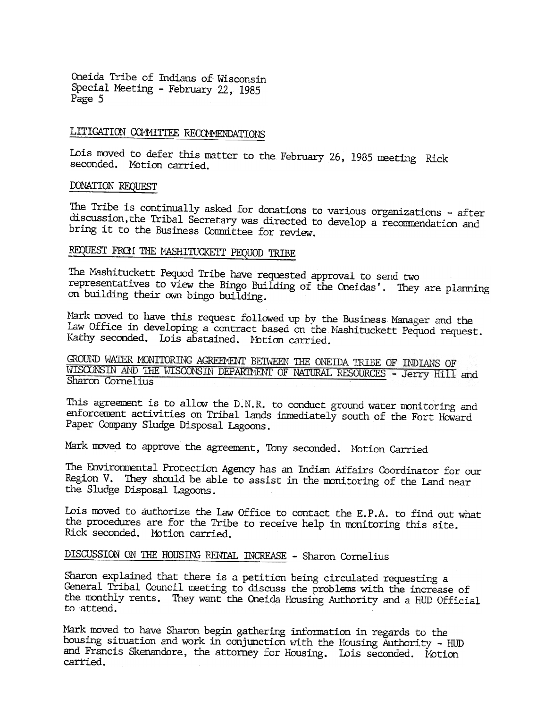# LITIGATION COMMITTEE RECCMMENDATIONS

Lois moved to defer this matter to the February 26, 1985 meeting Rick<br>seconded. Motion carried.

#### OONATION REQUEST

The Tribe is continually asked for donations to various organizations - after discussion, the Tribal Secretary was directed to develop a recommendation and bring it to the Business Conmittee for review.

### REQUEST FROM THE MASHITUCKETT PEQUOD TRIBE

The Mashituckett Pequod Tribe have requested approval to send two representatives to view the Bingo Building of the Oneidas'. They are planning on building their own bingo building.

Mark moved to have this request followed up by the Business Manager and the Law Office in developing a contract based on the Mashituckett Pequod request. Kathy seconded. Lois abstained. Motion carried.

GROUND WATER MONITORING AGREEMENT BETWEEN THE ONEIDA TRIBE OF INDIANS OF WISCONSIN AND THE WISCONSIN DEPARTMENT OF NATURAL RESOURCES - Jerry Hill and Sharon Cornelius

This agreement is to allow the D.N.R. to conduct ground water monitoring and enforcement activities on Tribal lands immediately south of the Fort Howard Paper Company Sludge Disposal Lagoons.

Mark moved to approve the agreement, Tony seconded. Motion Carried

The Environmental Protection Agency has an Indian Affairs Coordinator for our Region V. They should be able to assist in the monitoring of the Land near the Sludge Disposal lagoons.

Lois moved to authorize the Law Office to contact the E.P.A. to find out what the procedures are for the Tribe to receive help in monitoring this site. Rick seconded. Motion carried.

### DISCUSSION ON THE HOUSING RENTAL INCREASE - Sharon Cornelius

Sharon explained that there is a petition being circulated requesting a General Tribal Council meeting to discuss the problems with the increase of the monthly rents. They want the Oneida Housing Authority and a HUD Official to attend.

Mark moved to have Sharon begin gathering information in regards to the housing situation and work in conjunction with the Housing Authority - HUD and Francis Skenandore, the attorney for Housing. Lois seconded. Notion carried.